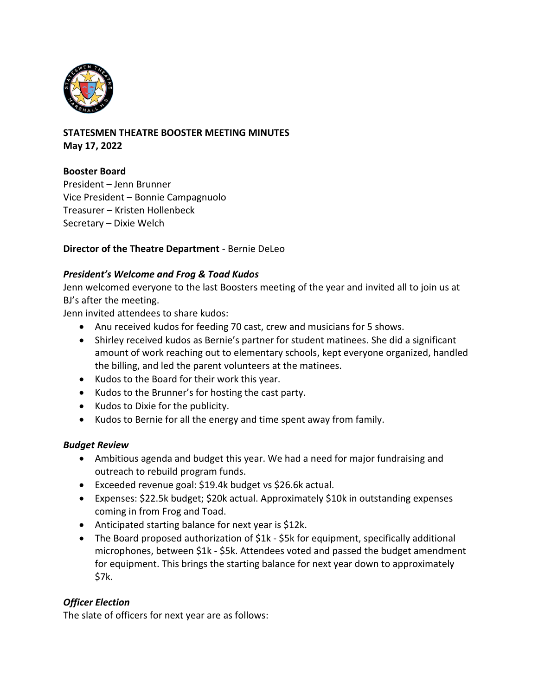

### **STATESMEN THEATRE BOOSTER MEETING MINUTES May 17, 2022**

# **Booster Board**

President – Jenn Brunner Vice President – Bonnie Campagnuolo Treasurer – Kristen Hollenbeck Secretary – Dixie Welch

# **Director of the Theatre Department** - Bernie DeLeo

### *President's Welcome and Frog & Toad Kudos*

Jenn welcomed everyone to the last Boosters meeting of the year and invited all to join us at BJ's after the meeting.

Jenn invited attendees to share kudos:

- Anu received kudos for feeding 70 cast, crew and musicians for 5 shows.
- Shirley received kudos as Bernie's partner for student matinees. She did a significant amount of work reaching out to elementary schools, kept everyone organized, handled the billing, and led the parent volunteers at the matinees.
- Kudos to the Board for their work this year.
- Kudos to the Brunner's for hosting the cast party.
- Kudos to Dixie for the publicity.
- Kudos to Bernie for all the energy and time spent away from family.

# *Budget Review*

- Ambitious agenda and budget this year. We had a need for major fundraising and outreach to rebuild program funds.
- Exceeded revenue goal: \$19.4k budget vs \$26.6k actual.
- Expenses: \$22.5k budget; \$20k actual. Approximately \$10k in outstanding expenses coming in from Frog and Toad.
- Anticipated starting balance for next year is \$12k.
- The Board proposed authorization of \$1k \$5k for equipment, specifically additional microphones, between \$1k - \$5k. Attendees voted and passed the budget amendment for equipment. This brings the starting balance for next year down to approximately \$7k.

# *Officer Election*

The slate of officers for next year are as follows: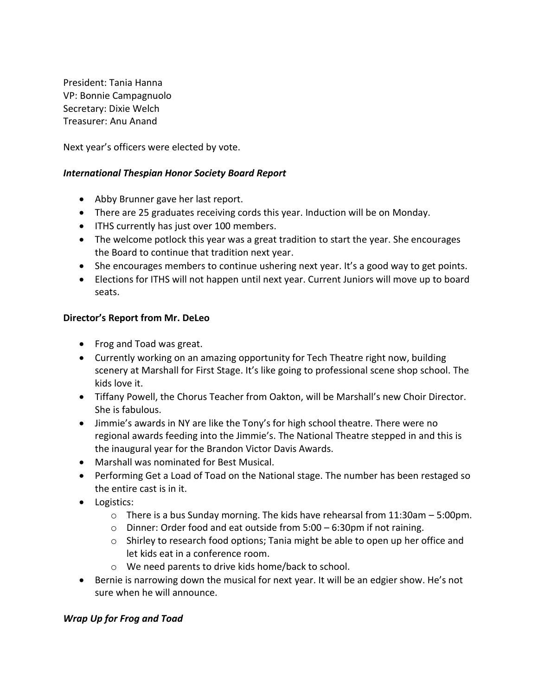President: Tania Hanna VP: Bonnie Campagnuolo Secretary: Dixie Welch Treasurer: Anu Anand

Next year's officers were elected by vote.

### *International Thespian Honor Society Board Report*

- Abby Brunner gave her last report.
- There are 25 graduates receiving cords this year. Induction will be on Monday.
- ITHS currently has just over 100 members.
- The welcome potlock this year was a great tradition to start the year. She encourages the Board to continue that tradition next year.
- She encourages members to continue ushering next year. It's a good way to get points.
- Elections for ITHS will not happen until next year. Current Juniors will move up to board seats.

#### **Director's Report from Mr. DeLeo**

- Frog and Toad was great.
- Currently working on an amazing opportunity for Tech Theatre right now, building scenery at Marshall for First Stage. It's like going to professional scene shop school. The kids love it.
- Tiffany Powell, the Chorus Teacher from Oakton, will be Marshall's new Choir Director. She is fabulous.
- Jimmie's awards in NY are like the Tony's for high school theatre. There were no regional awards feeding into the Jimmie's. The National Theatre stepped in and this is the inaugural year for the Brandon Victor Davis Awards.
- Marshall was nominated for Best Musical.
- Performing Get a Load of Toad on the National stage. The number has been restaged so the entire cast is in it.
- Logistics:
	- $\circ$  There is a bus Sunday morning. The kids have rehearsal from 11:30am 5:00pm.
	- o Dinner: Order food and eat outside from 5:00 6:30pm if not raining.
	- o Shirley to research food options; Tania might be able to open up her office and let kids eat in a conference room.
	- o We need parents to drive kids home/back to school.
- Bernie is narrowing down the musical for next year. It will be an edgier show. He's not sure when he will announce.

#### *Wrap Up for Frog and Toad*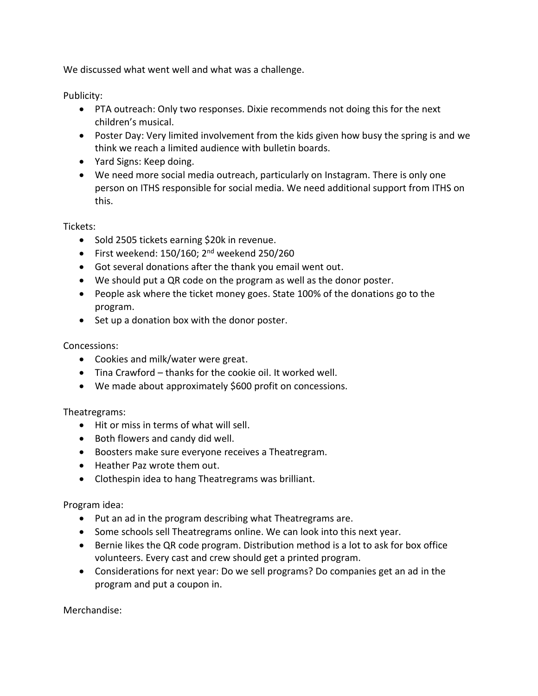We discussed what went well and what was a challenge.

Publicity:

- PTA outreach: Only two responses. Dixie recommends not doing this for the next children's musical.
- Poster Day: Very limited involvement from the kids given how busy the spring is and we think we reach a limited audience with bulletin boards.
- Yard Signs: Keep doing.
- We need more social media outreach, particularly on Instagram. There is only one person on ITHS responsible for social media. We need additional support from ITHS on this.

Tickets:

- Sold 2505 tickets earning \$20k in revenue.
- First weekend:  $150/160$ ;  $2<sup>nd</sup>$  weekend 250/260
- Got several donations after the thank you email went out.
- We should put a QR code on the program as well as the donor poster.
- People ask where the ticket money goes. State 100% of the donations go to the program.
- Set up a donation box with the donor poster.

# Concessions:

- Cookies and milk/water were great.
- Tina Crawford thanks for the cookie oil. It worked well.
- We made about approximately \$600 profit on concessions.

Theatregrams:

- Hit or miss in terms of what will sell.
- Both flowers and candy did well.
- Boosters make sure everyone receives a Theatregram.
- Heather Paz wrote them out.
- Clothespin idea to hang Theatregrams was brilliant.

Program idea:

- Put an ad in the program describing what Theatregrams are.
- Some schools sell Theatregrams online. We can look into this next year.
- Bernie likes the QR code program. Distribution method is a lot to ask for box office volunteers. Every cast and crew should get a printed program.
- Considerations for next year: Do we sell programs? Do companies get an ad in the program and put a coupon in.

Merchandise: